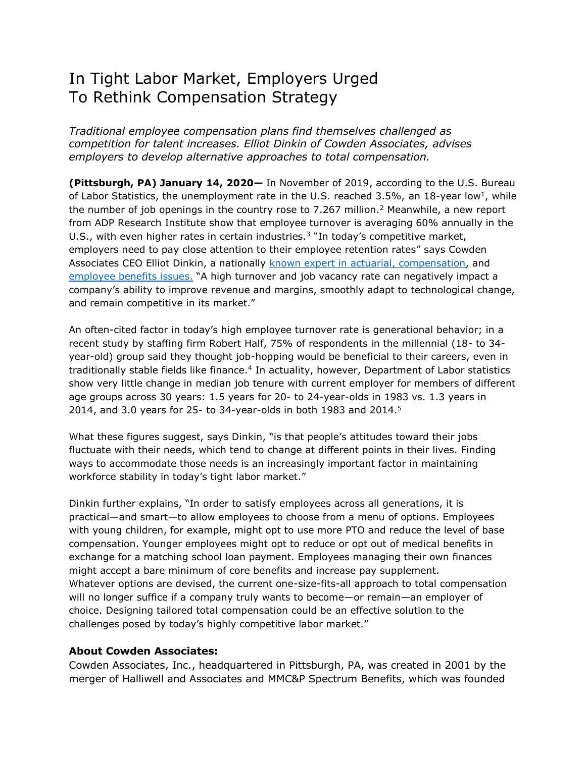## In Tight Labor Market, Employers Urged To Rethink Compensation Strategy

*Traditional employee compensation plans find themselves challenged as competition for talent increases. Elliot Dinkin of Cowden Associates, advises employers to develop alternative approaches to total compensation.*

**(Pittsburgh, PA) January 14, 2020—** In November of 2019, according to the U.S. Bureau of Labor Statistics, the unemployment rate in the U.S. reached 3.5%, an 18-year low<sup>1</sup>, while the number of job openings in the country rose to 7.267 million.<sup>2</sup> Meanwhile, a new report from ADP Research Institute show that employee turnover is averaging 60% annually in the U.S., with even higher rates in certain industries.<sup>3</sup> "In today's competitive market, employers need to pay close attention to their employee retention rates" says Cowden Associates CEO Elliot Dinkin, a nationally [known expert in actuarial, compensation,](http://www.cowdenassociates.com/compensation/) and [employee benefits issues.](http://www.cowdenassociates.com/health-benefits/) "A high turnover and job vacancy rate can negatively impact a company's ability to improve revenue and margins, smoothly adapt to technological change, and remain competitive in its market."

An often-cited factor in today's high employee turnover rate is generational behavior; in a recent study by staffing firm Robert Half, 75% of respondents in the millennial (18- to 34 year-old) group said they thought job-hopping would be beneficial to their careers, even in traditionally stable fields like finance.<sup>4</sup> In actuality, however, Department of Labor statistics show very little change in median job tenure with current employer for members of different age groups across 30 years: 1.5 years for 20- to 24-year-olds in 1983 vs. 1.3 years in 2014, and 3.0 years for 25- to 34-year-olds in both 1983 and 2014.<sup>5</sup>

What these figures suggest, says Dinkin, "is that people's attitudes toward their jobs fluctuate with their needs, which tend to change at different points in their lives. Finding ways to accommodate those needs is an increasingly important factor in maintaining workforce stability in today's tight labor market."

Dinkin further explains, "In order to satisfy employees across all generations, it is practical—and smart—to allow employees to choose from a menu of options. Employees with young children, for example, might opt to use more PTO and reduce the level of base compensation. Younger employees might opt to reduce or opt out of medical benefits in exchange for a matching school loan payment. Employees managing their own finances might accept a bare minimum of core benefits and increase pay supplement. Whatever options are devised, the current one-size-fits-all approach to total compensation will no longer suffice if a company truly wants to become—or remain—an employer of choice. Designing tailored total compensation could be an effective solution to the challenges posed by today's highly competitive labor market."

## **About Cowden Associates:**

Cowden Associates, Inc., headquartered in Pittsburgh, PA, was created in 2001 by the merger of Halliwell and Associates and MMC&P Spectrum Benefits, which was founded